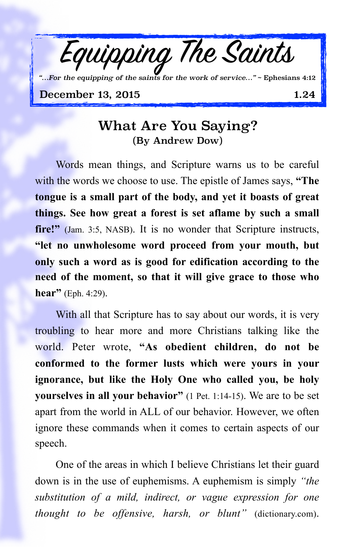

## What Are You Saying? (By Andrew Dow)

Words mean things, and Scripture warns us to be careful with the words we choose to use. The epistle of James says, **"The tongue is a small part of the body, and yet it boasts of great things. See how great a forest is set aflame by such a small fire!"** (Jam. 3:5, NASB). It is no wonder that Scripture instructs, **"let no unwholesome word proceed from your mouth, but only such a word as is good for edification according to the need of the moment, so that it will give grace to those who hear"** (Eph. 4:29).

With all that Scripture has to say about our words, it is very troubling to hear more and more Christians talking like the world. Peter wrote, **"As obedient children, do not be conformed to the former lusts which were yours in your ignorance, but like the Holy One who called you, be holy yourselves in all your behavior"** (1 Pet. 1:14-15). We are to be set apart from the world in ALL of our behavior. However, we often ignore these commands when it comes to certain aspects of our speech.

One of the areas in which I believe Christians let their guard down is in the use of euphemisms. A euphemism is simply *"the substitution of a mild, indirect, or vague expression for one thought to be offensive, harsh, or blunt"* (dictionary.com).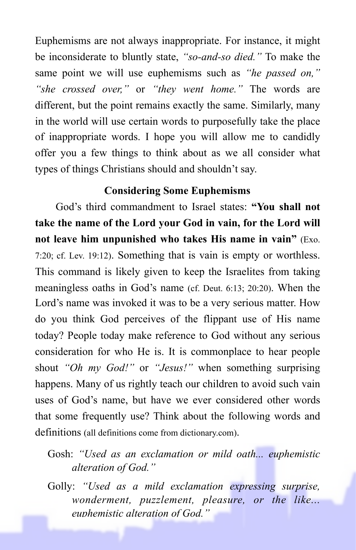Euphemisms are not always inappropriate. For instance, it might be inconsiderate to bluntly state, *"so-and-so died."* To make the same point we will use euphemisms such as *"he passed on," "she crossed over,"* or *"they went home."* The words are different, but the point remains exactly the same. Similarly, many in the world will use certain words to purposefully take the place of inappropriate words. I hope you will allow me to candidly offer you a few things to think about as we all consider what types of things Christians should and shouldn't say.

## **Considering Some Euphemisms**

God's third commandment to Israel states: **"You shall not take the name of the Lord your God in vain, for the Lord will not leave him unpunished who takes His name in vain"** (Exo. 7:20; cf. Lev. 19:12). Something that is vain is empty or worthless. This command is likely given to keep the Israelites from taking meaningless oaths in God's name (cf. Deut. 6:13; 20:20). When the Lord's name was invoked it was to be a very serious matter. How do you think God perceives of the flippant use of His name today? People today make reference to God without any serious consideration for who He is. It is commonplace to hear people shout *"Oh my God!"* or *"Jesus!"* when something surprising happens. Many of us rightly teach our children to avoid such vain uses of God's name, but have we ever considered other words that some frequently use? Think about the following words and definitions (all definitions come from dictionary.com).

Gosh: *"Used as an exclamation or mild oath... euphemistic alteration of God."*

Golly: *"Used as a mild exclamation expressing surprise, wonderment, puzzlement, pleasure, or the like... euphemistic alteration of God."*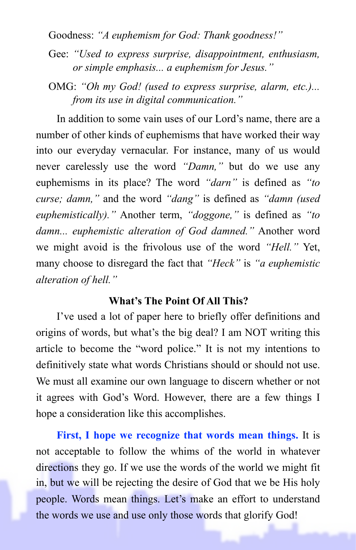Goodness: *"A euphemism for God: Thank goodness!"*

Gee: *"Used to express surprise, disappointment, enthusiasm, or simple emphasis... a euphemism for Jesus."* 

OMG: *"Oh my God! (used to express surprise, alarm, etc.)... from its use in digital communication."*

In addition to some vain uses of our Lord's name, there are a number of other kinds of euphemisms that have worked their way into our everyday vernacular. For instance, many of us would never carelessly use the word *"Damn,"* but do we use any euphemisms in its place? The word *"darn"* is defined as *"to curse; damn,"* and the word *"dang"* is defined as *"damn (used euphemistically)."* Another term, *"doggone,"* is defined as *"to damn... euphemistic alteration of God damned."* Another word we might avoid is the frivolous use of the word *"Hell."* Yet, many choose to disregard the fact that *"Heck"* is *"a euphemistic alteration of hell."*

## **What's The Point Of All This?**

I've used a lot of paper here to briefly offer definitions and origins of words, but what's the big deal? I am NOT writing this article to become the "word police." It is not my intentions to definitively state what words Christians should or should not use. We must all examine our own language to discern whether or not it agrees with God's Word. However, there are a few things I hope a consideration like this accomplishes.

**First, I hope we recognize that words mean things.** It is not acceptable to follow the whims of the world in whatever directions they go. If we use the words of the world we might fit in, but we will be rejecting the desire of God that we be His holy people. Words mean things. Let's make an effort to understand the words we use and use only those words that glorify God!